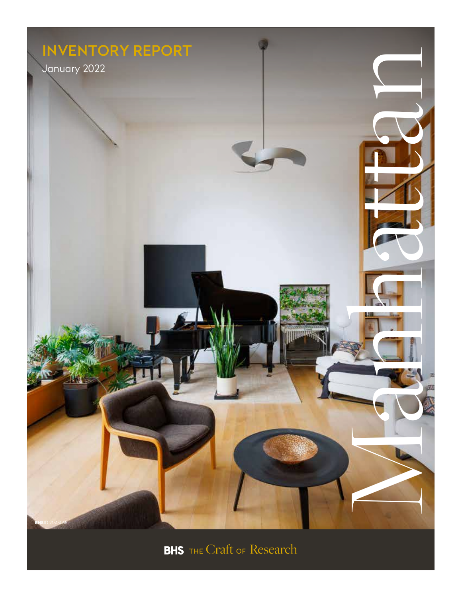

**BHS** THE Craft of Research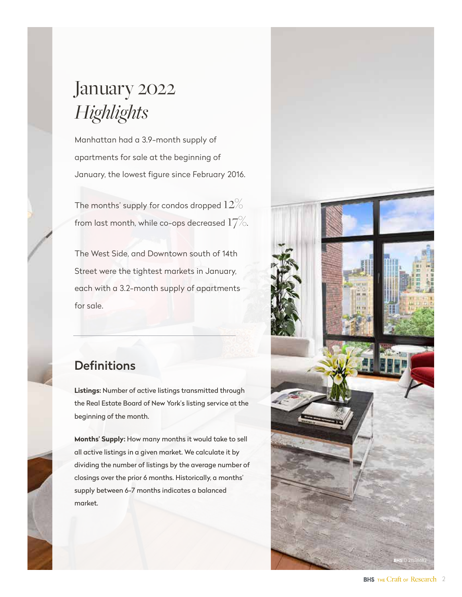# January 2022 *Highlights*

Manhattan had a 3.9-month supply of apartments for sale at the beginning of January, the lowest figure since February 2016.

The months' supply for condos dropped  $12\%$ from last month, while co-ops decreased  $17\%.$ 

The West Side, and Downtown south of 14th Street were the tightest markets in January, each with a 3.2-month supply of apartments for sale.

# **Definitions**

**Listings:** Number of active listings transmitted through the Real Estate Board of New York's listing service at the beginning of the month.

**Months' Supply:** How many months it would take to sell all active listings in a given market. We calculate it by dividing the number of listings by the average number of closings over the prior 6 months. Historically, a months' supply between 6-7 months indicates a balanced market.

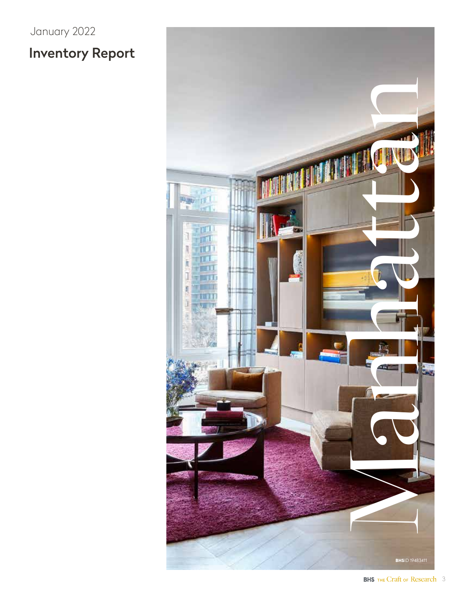# Inventory Report January 2022

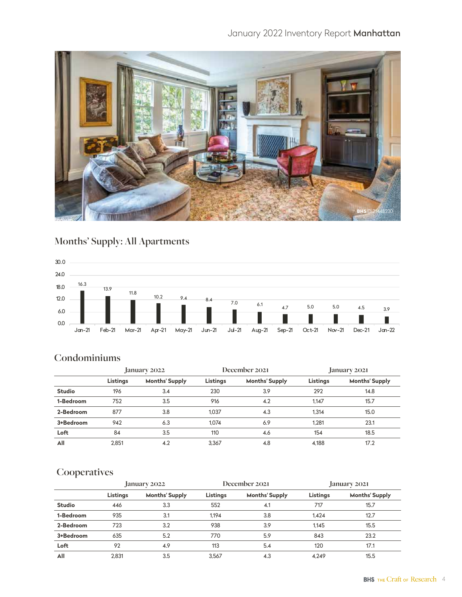## January 2022 Inventory Report Manhattan



# **Months' Supply: All Apartments**



#### **Condominiums**

|               | January 2022 |                       | December 2021 |                       | January 2021 |                       |
|---------------|--------------|-----------------------|---------------|-----------------------|--------------|-----------------------|
|               | Listings     | <b>Months' Supply</b> | Listings      | <b>Months' Supply</b> | Listings     | <b>Months' Supply</b> |
| <b>Studio</b> | 196          | 3.4                   | 230           | 3.9                   | 292          | 14.8                  |
| 1-Bedroom     | 752          | 3.5                   | 916           | 4.2                   | 1.147        | 15.7                  |
| 2-Bedroom     | 877          | 3.8                   | 1.037         | 4.3                   | 1.314        | 15.0                  |
| 3+Bedroom     | 942          | 6.3                   | 1.074         | 6.9                   | 1.281        | 23.1                  |
| Loft          | 84           | 3.5                   | 110           | 4.6                   | 154          | 18.5                  |
| All           | 2.851        | 4.2                   | 3.367         | 4.8                   | 4.188        | 17.2                  |

|               | January 2022 |                       | December 2021 |                       | January 2021 |                       |
|---------------|--------------|-----------------------|---------------|-----------------------|--------------|-----------------------|
|               | Listings     | <b>Months' Supply</b> | Listings      | <b>Months' Supply</b> | Listings     | <b>Months' Supply</b> |
| <b>Studio</b> | 446          | 3.3                   | 552           | 4.1                   | 717          | 15.7                  |
| 1-Bedroom     | 935          | 3.1                   | 1.194         | 3.8                   | 1.424        | 12.7                  |
| 2-Bedroom     | 723          | 3.2                   | 938           | 3.9                   | 1.145        | 15.5                  |
| 3+Bedroom     | 635          | 5.2                   | 770           | 5.9                   | 843          | 23.2                  |
| Loft          | 92           | 4.9                   | 113           | 5.4                   | 120          | 17.1                  |
| All           | 2.831        | 3.5                   | 3.567         | 4.3                   | 4.249        | 15.5                  |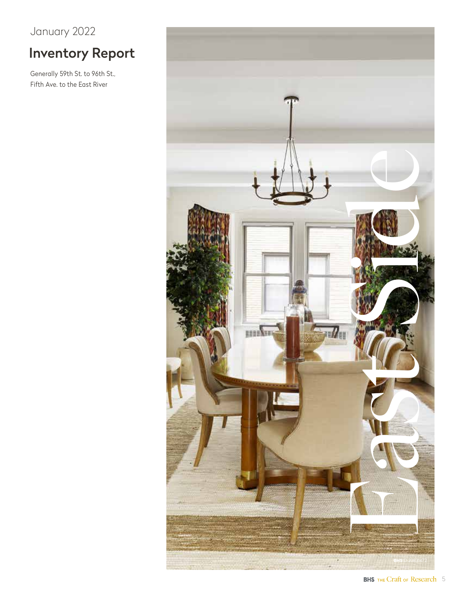# Inventory Report

Generally 59th St. to 96th St., Fifth Ave. to the East River

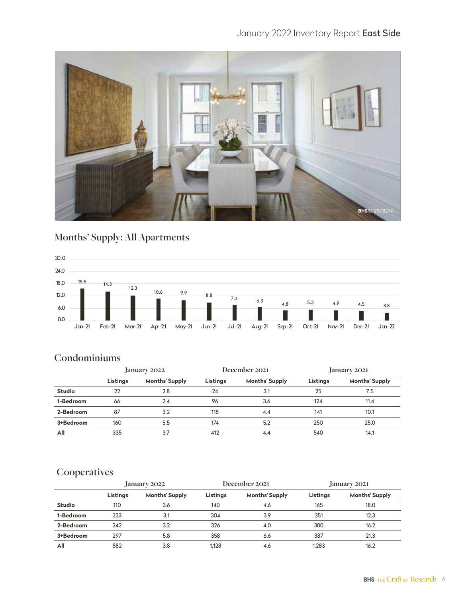## January 2022 Inventory Report East Side



# **Months' Supply: All Apartments**



#### **Condominiums**

|               | January 2022 |                       | December 2021 |                       | January 2021 |                       |
|---------------|--------------|-----------------------|---------------|-----------------------|--------------|-----------------------|
|               | Listings     | <b>Months' Supply</b> | Listings      | <b>Months' Supply</b> | Listings     | <b>Months' Supply</b> |
| <b>Studio</b> | 22           | 2.8                   | 24            | 3.1                   | 25           | 7.5                   |
| 1-Bedroom     | 66           | 2.4                   | 96            | 3.6                   | 124          | 11.4                  |
| 2-Bedroom     | 87           | 3.2                   | 118           | 4.4                   | 141          | 10.1                  |
| 3+Bedroom     | 160          | 5.5                   | 174           | 5.2                   | 250          | 25.0                  |
| All           | 335          | 3.7                   | 412           | 4.4                   | 540          | 14.1                  |

|               | January 2022 |                       | December 2021 |                       | January 2021 |                       |
|---------------|--------------|-----------------------|---------------|-----------------------|--------------|-----------------------|
|               | Listings     | <b>Months' Supply</b> | Listings      | <b>Months' Supply</b> | Listings     | <b>Months' Supply</b> |
| <b>Studio</b> | 110          | 3.6                   | 140           | 4.6                   | 165          | 18.0                  |
| 1-Bedroom     | 233          | 3.1                   | 304           | 3.9                   | 351          | 12.3                  |
| 2-Bedroom     | 242          | 3.2                   | 326           | 4.0                   | 380          | 16.2                  |
| 3+Bedroom     | 297          | 5.8                   | 358           | 6.6                   | 387          | 21.3                  |
| All           | 882          | 3.8                   | 1.128         | 4.6                   | 1.283        | 16.2                  |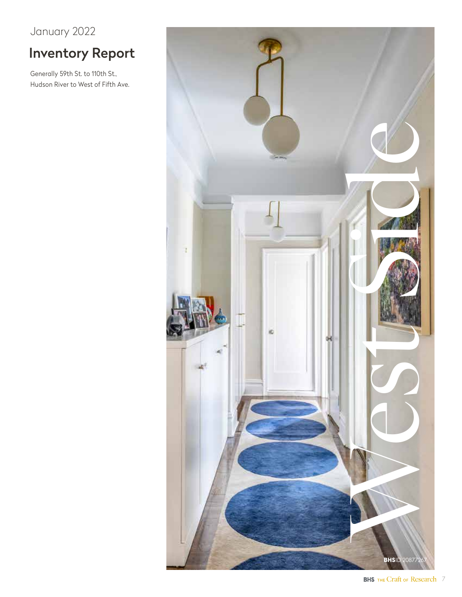# Inventory Report

Generally 59th St. to 110th St., Hudson River to West of Fifth Ave.

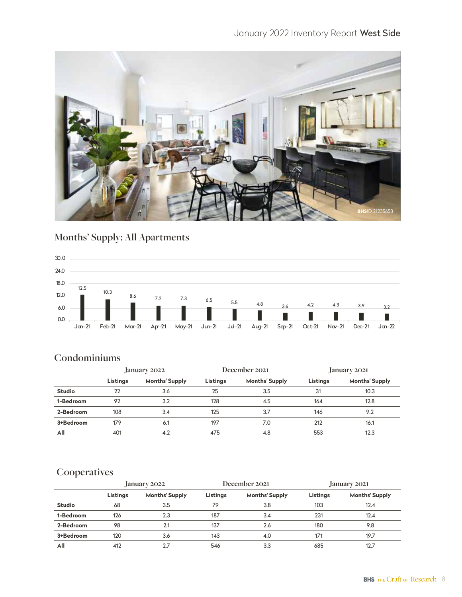## January 2022 Inventory Report West Side



# **Months' Supply: All Apartments**



## **Condominiums**

|               | January 2022 |                       | December 2021 |                       | January 2021 |                       |
|---------------|--------------|-----------------------|---------------|-----------------------|--------------|-----------------------|
|               | Listings     | <b>Months' Supply</b> | Listings      | <b>Months' Supply</b> | Listings     | <b>Months' Supply</b> |
| <b>Studio</b> | 22           | 3.6                   | 25            | 3.5                   | 31           | 10.3                  |
| 1-Bedroom     | 92           | 3.2                   | 128           | 4.5                   | 164          | 12.8                  |
| 2-Bedroom     | 108          | 3.4                   | 125           | 3.7                   | 146          | 9.2                   |
| 3+Bedroom     | 179          | 6.1                   | 197           | 7.0                   | 212          | 16.1                  |
| All           | 401          | 4.2                   | 475           | 4.8                   | 553          | 12.3                  |

|               | January 2022 |                       | December 2021 |                       | January 2021 |                       |
|---------------|--------------|-----------------------|---------------|-----------------------|--------------|-----------------------|
|               | Listings     | <b>Months' Supply</b> | Listings      | <b>Months' Supply</b> | Listings     | <b>Months' Supply</b> |
| <b>Studio</b> | 68           | 3.5                   | 79            | 3.8                   | 103          | 12.4                  |
| 1-Bedroom     | 126          | 2.3                   | 187           | 3.4                   | 231          | 12.4                  |
| 2-Bedroom     | 98           | 2.1                   | 137           | 2.6                   | 180          | 9.8                   |
| 3+Bedroom     | 120          | 3.6                   | 143           | 4.0                   | 171          | 19.7                  |
| All           | 412          | 2.7                   | 546           | 3.3                   | 685          | 12.7                  |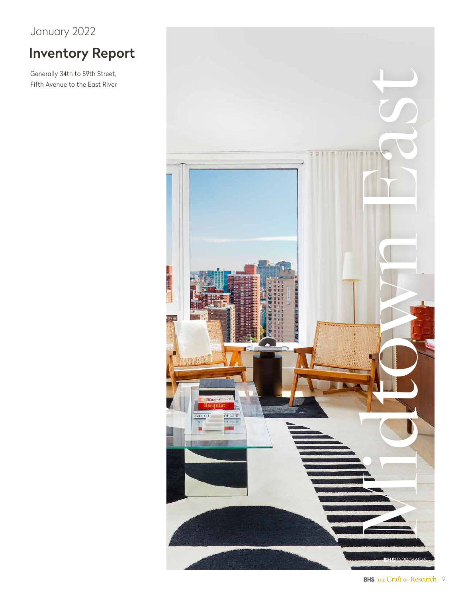# Inventory Report

Generally 34th to 59th Street, Fifth Avenue to the East River

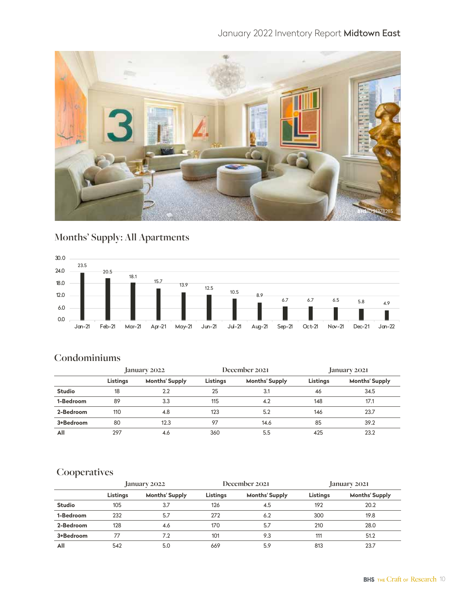## January 2022 Inventory Report Midtown East



# **Months' Supply: All Apartments**



## **Condominiums**

|               | January 2022 |                       | December 2021 |                       | January 2021 |                       |
|---------------|--------------|-----------------------|---------------|-----------------------|--------------|-----------------------|
|               | Listings     | <b>Months' Supply</b> | Listings      | <b>Months' Supply</b> | Listings     | <b>Months' Supply</b> |
| <b>Studio</b> | 18           | 2.2                   | 25            | 3.1                   | 46           | 34.5                  |
| 1-Bedroom     | 89           | 3.3                   | 115           | 4.2                   | 148          | 17.1                  |
| 2-Bedroom     | 110          | 4.8                   | 123           | 5.2                   | 146          | 23.7                  |
| 3+Bedroom     | 80           | 12.3                  | 97            | 14.6                  | 85           | 39.2                  |
| All           | 297          | 4.6                   | 360           | 5.5                   | 425          | 23.2                  |

|               | January 2022 |                       | December 2021 |                       | January 2021 |                       |
|---------------|--------------|-----------------------|---------------|-----------------------|--------------|-----------------------|
|               | Listings     | <b>Months' Supply</b> | Listings      | <b>Months' Supply</b> | Listings     | <b>Months' Supply</b> |
| <b>Studio</b> | 105          | 3.7                   | 126           | 4.5                   | 192          | 20.2                  |
| 1-Bedroom     | 232          | 5.7                   | 272           | 6.2                   | 300          | 19.8                  |
| 2-Bedroom     | 128          | 4.6                   | 170           | 5.7                   | 210          | 28.0                  |
| 3+Bedroom     | 77           | 7.2                   | 101           | 9.3                   | 111          | 51.2                  |
| All           | 542          | 5.0                   | 669           | 5.9                   | 813          | 23.7                  |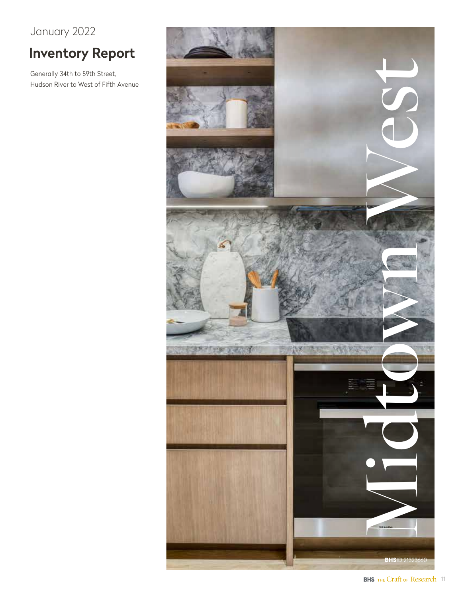# Inventory Report

Generally 34th to 59th Street, Hudson River to West of Fifth Avenue

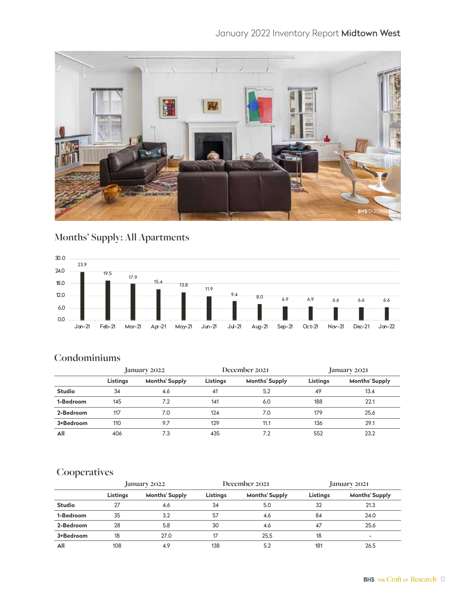# January 2022 Inventory Report Midtown West



# **Months' Supply: All Apartments**



#### **Condominiums**

|               | January 2022 |                       | December 2021 |                       | January 2021 |                       |
|---------------|--------------|-----------------------|---------------|-----------------------|--------------|-----------------------|
|               | Listings     | <b>Months' Supply</b> | Listings      | <b>Months' Supply</b> | Listings     | <b>Months' Supply</b> |
| <b>Studio</b> | 34           | 4.6                   | 41            | 5.2                   | 49           | 13.4                  |
| 1-Bedroom     | 145          | 7.2                   | 141           | 6.0                   | 188          | 22.1                  |
| 2-Bedroom     | 117          | 7.0                   | 124           | 7.0                   | 179          | 25.6                  |
| 3+Bedroom     | 110          | 9.7                   | 129           | 11.1                  | 136          | 29.1                  |
| All           | 406          | 7.3                   | 435           | 7.2                   | 552          | 23.2                  |

|               | January 2022 |                       | December 2021 |                       | January 2021 |                          |
|---------------|--------------|-----------------------|---------------|-----------------------|--------------|--------------------------|
|               | Listings     | <b>Months' Supply</b> | Listings      | <b>Months' Supply</b> | Listings     | <b>Months' Supply</b>    |
| <b>Studio</b> | 27           | 4.6                   | 34            | 5.0                   | 32           | 21.3                     |
| 1-Bedroom     | 35           | 3.2                   | 57            | 4.6                   | 84           | 24.0                     |
| 2-Bedroom     | 28           | 5.8                   | 30            | 4.6                   | 47           | 25.6                     |
| 3+Bedroom     | 18           | 27.0                  | 17            | 25.5                  | 18           | $\overline{\phantom{0}}$ |
| All           | 108          | 4.9                   | 138           | 5.2                   | 181          | 26.5                     |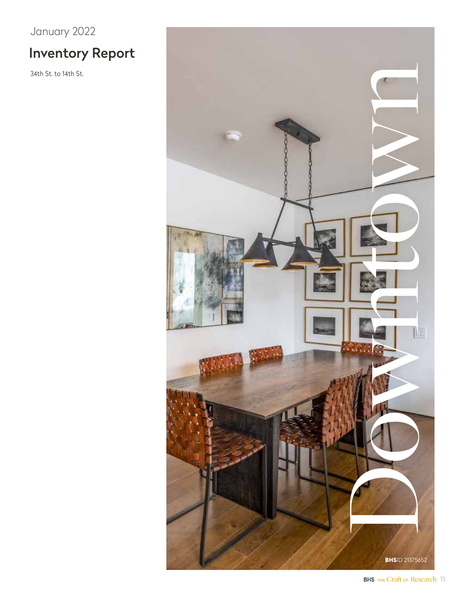# Inventory Report

34th St. to 14th St.

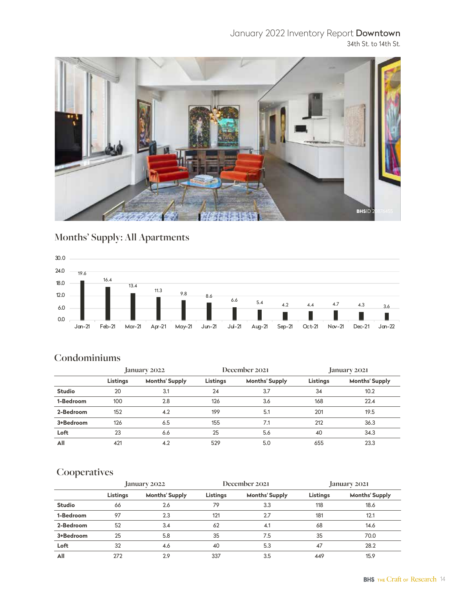# January 2022 Inventory Report Downtown

34th St. to 14th St.



# **Months' Supply: All Apartments**



#### **Condominiums**

|               | January 2022 |                       | December 2021 |                       | January 2021 |                       |
|---------------|--------------|-----------------------|---------------|-----------------------|--------------|-----------------------|
|               | Listings     | <b>Months' Supply</b> | Listings      | <b>Months' Supply</b> | Listings     | <b>Months' Supply</b> |
| <b>Studio</b> | 20           | 3.1                   | 24            | 3.7                   | 34           | 10.2                  |
| 1-Bedroom     | 100          | 2.8                   | 126           | 3.6                   | 168          | 22.4                  |
| 2-Bedroom     | 152          | 4.2                   | 199           | 5.1                   | 201          | 19.5                  |
| 3+Bedroom     | 126          | 6.5                   | 155           | 7.1                   | 212          | 36.3                  |
| Loft          | 23           | 6.6                   | 25            | 5.6                   | 40           | 34.3                  |
| All           | 421          | 4.2                   | 529           | 5.0                   | 655          | 23.3                  |

|               | January 2022 |                       | December 2021 |                       | January 2021 |                       |
|---------------|--------------|-----------------------|---------------|-----------------------|--------------|-----------------------|
|               | Listings     | <b>Months' Supply</b> | Listings      | <b>Months' Supply</b> | Listings     | <b>Months' Supply</b> |
| <b>Studio</b> | 66           | 2.6                   | 79            | 3.3                   | 118          | 18.6                  |
| 1-Bedroom     | 97           | 2.3                   | 121           | 2.7                   | 181          | 12.1                  |
| 2-Bedroom     | 52           | 3.4                   | 62            | 4.1                   | 68           | 14.6                  |
| 3+Bedroom     | 25           | 5.8                   | 35            | 7.5                   | 35           | 70.0                  |
| Loft          | 32           | 4.6                   | 40            | 5.3                   | 47           | 28.2                  |
| All           | 272          | 2.9                   | 337           | 3.5                   | 449          | 15.9                  |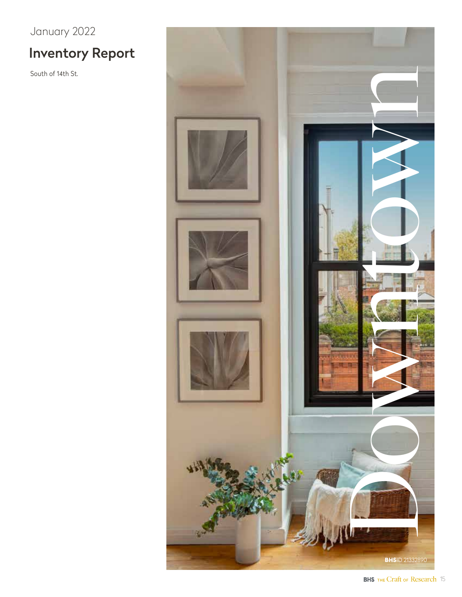# Inventory Report

South of 14th St.

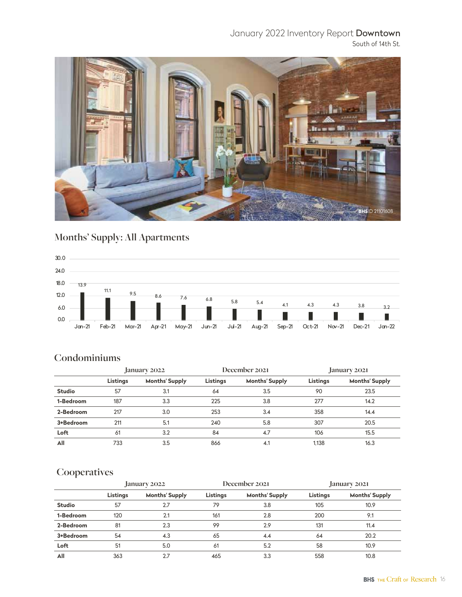#### January 2022 Inventory Report Downtown South of 14th St.



# **Months' Supply: All Apartments**



#### **Condominiums**

|               | January 2022 |                       | December 2021 |                       | January 2021 |                       |
|---------------|--------------|-----------------------|---------------|-----------------------|--------------|-----------------------|
|               | Listings     | <b>Months' Supply</b> | Listings      | <b>Months' Supply</b> | Listings     | <b>Months' Supply</b> |
| <b>Studio</b> | 57           | 3.1                   | 64            | 3.5                   | 90           | 23.5                  |
| 1-Bedroom     | 187          | 3.3                   | 225           | 3.8                   | 277          | 14.2                  |
| 2-Bedroom     | 217          | 3.0                   | 253           | 3.4                   | 358          | 14.4                  |
| 3+Bedroom     | 211          | 5.1                   | 240           | 5.8                   | 307          | 20.5                  |
| Loft          | 61           | 3.2                   | 84            | 4.7                   | 106          | 15.5                  |
| All           | 733          | 3.5                   | 866           | 4.1                   | 1.138        | 16.3                  |

|               | January 2022 |                       | December 2021 |                       | January 2021 |                       |
|---------------|--------------|-----------------------|---------------|-----------------------|--------------|-----------------------|
|               | Listings     | <b>Months' Supply</b> | Listings      | <b>Months' Supply</b> | Listings     | <b>Months' Supply</b> |
| <b>Studio</b> | 57           | 2.7                   | 79            | 3.8                   | 105          | 10.9                  |
| 1-Bedroom     | 120          | 2.1                   | 161           | 2.8                   | 200          | 9.1                   |
| 2-Bedroom     | 81           | 2.3                   | 99            | 2.9                   | 131          | 11.4                  |
| 3+Bedroom     | 54           | 4.3                   | 65            | 4.4                   | 64           | 20.2                  |
| Loft          | 51           | 5.0                   | 61            | 5.2                   | 58           | 10.9                  |
| All           | 363          | 2.7                   | 465           | 3.3                   | 558          | 10.8                  |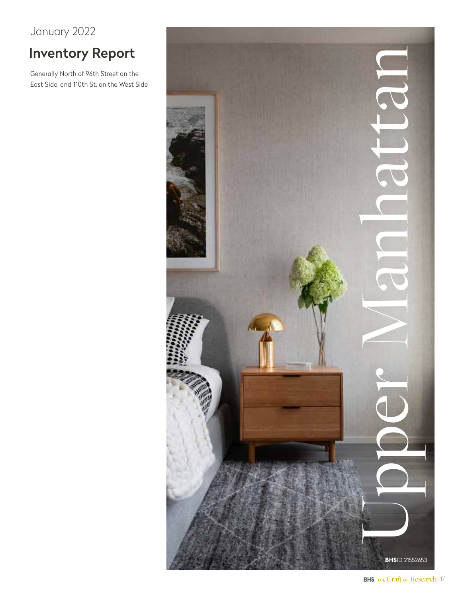# Inventory Report

Generally North of 96th Street on the East Side, and 110th St. on the West Side

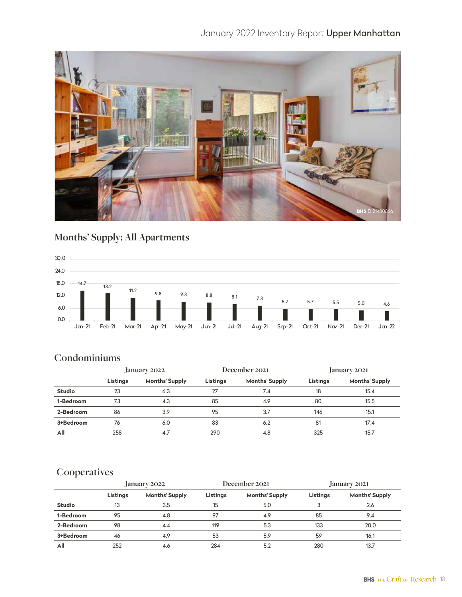## January 2022 Inventory Report Upper Manhattan



# **Months' Supply: All Apartments**



#### **Condominiums**

|               | January 2022 |                       | December 2021 |                       | January 2021 |                       |
|---------------|--------------|-----------------------|---------------|-----------------------|--------------|-----------------------|
|               | Listings     | <b>Months' Supply</b> | Listings      | <b>Months' Supply</b> | Listings     | <b>Months' Supply</b> |
| <b>Studio</b> | 23           | 6.3                   | 27            | 7.4                   | 18           | 15.4                  |
| 1-Bedroom     | 73           | 4.3                   | 85            | 4.9                   | 80           | 15.5                  |
| 2-Bedroom     | 86           | 3.9                   | 95            | 3.7                   | 146          | 15.1                  |
| 3+Bedroom     | 76           | 6.0                   | 83            | 6.2                   | 81           | 17.4                  |
| All           | 258          | 4.7                   | 290           | 4.8                   | 325          | 15.7                  |

|               | January 2022 |                       | December 2021 |                       | January 2021 |                       |
|---------------|--------------|-----------------------|---------------|-----------------------|--------------|-----------------------|
|               | Listings     | <b>Months' Supply</b> | Listings      | <b>Months' Supply</b> | Listings     | <b>Months' Supply</b> |
| <b>Studio</b> | 13           | 3.5                   | 15            | 5.0                   |              | 2.6                   |
| 1-Bedroom     | 95           | 4.8                   | 97            | 4.9                   | 85           | 9.4                   |
| 2-Bedroom     | 98           | 4.4                   | 119           | 5.3                   | 133          | 20.0                  |
| 3+Bedroom     | 46           | 4.9                   | 53            | 5.9                   | 59           | 16.1                  |
| All           | 252          | 4.6                   | 284           | 5.2                   | 280          | 13.7                  |